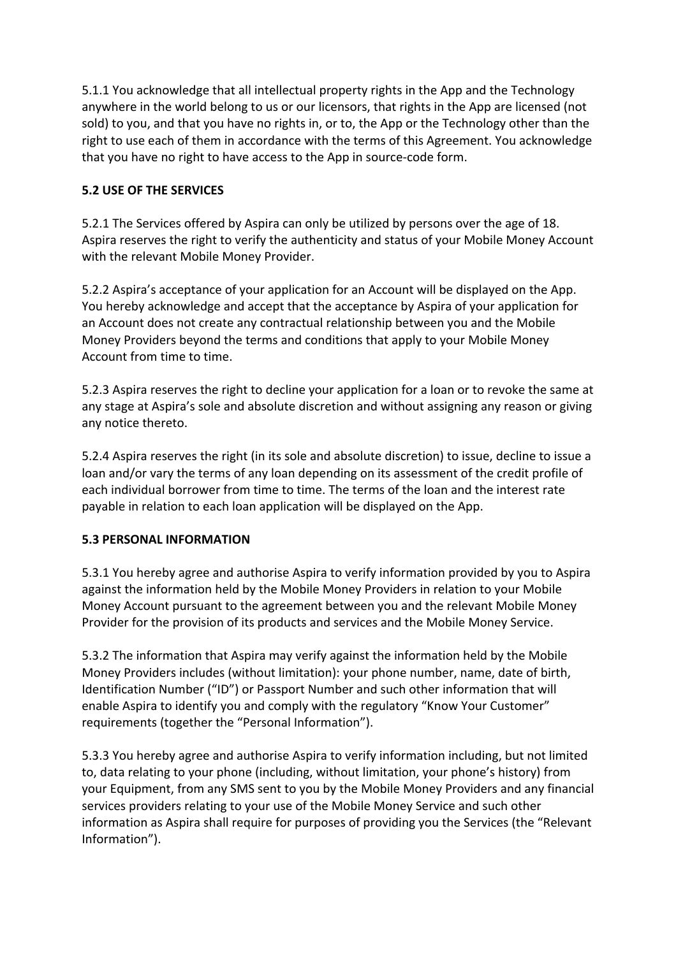5.1.1 You acknowledge that all intellectual property rights in the App and the Technology anywhere in the world belong to us or our licensors, that rights in the App are licensed (not sold) to you, and that you have no rights in, or to, the App or the Technology other than the right to use each of them in accordance with the terms of this Agreement. You acknowledge that you have no right to have access to the App in source-code form.

## **5.2 USE OF THE SERVICES**

5.2.1 The Services offered by Aspira can only be utilized by persons over the age of 18. Aspira reserves the right to verify the authenticity and status of your Mobile Money Account with the relevant Mobile Money Provider.

5.2.2 Aspira's acceptance of your application for an Account will be displayed on the App. You hereby acknowledge and accept that the acceptance by Aspira of your application for an Account does not create any contractual relationship between you and the Mobile Money Providers beyond the terms and conditions that apply to your Mobile Money Account from time to time.

5.2.3 Aspira reserves the right to decline your application for a loan or to revoke the same at any stage at Aspira's sole and absolute discretion and without assigning any reason or giving any notice thereto.

5.2.4 Aspira reserves the right (in its sole and absolute discretion) to issue, decline to issue a loan and/or vary the terms of any loan depending on its assessment of the credit profile of each individual borrower from time to time. The terms of the loan and the interest rate payable in relation to each loan application will be displayed on the App.

## **5.3 PERSONAL INFORMATION**

5.3.1 You hereby agree and authorise Aspira to verify information provided by you to Aspira against the information held by the Mobile Money Providers in relation to your Mobile Money Account pursuant to the agreement between you and the relevant Mobile Money Provider for the provision of its products and services and the Mobile Money Service.

5.3.2 The information that Aspira may verify against the information held by the Mobile Money Providers includes (without limitation): your phone number, name, date of birth, Identification Number ("ID") or Passport Number and such other information that will enable Aspira to identify you and comply with the regulatory "Know Your Customer" requirements (together the "Personal Information").

5.3.3 You hereby agree and authorise Aspira to verify information including, but not limited to, data relating to your phone (including, without limitation, your phone's history) from your Equipment, from any SMS sent to you by the Mobile Money Providers and any financial services providers relating to your use of the Mobile Money Service and such other information as Aspira shall require for purposes of providing you the Services (the "Relevant Information").